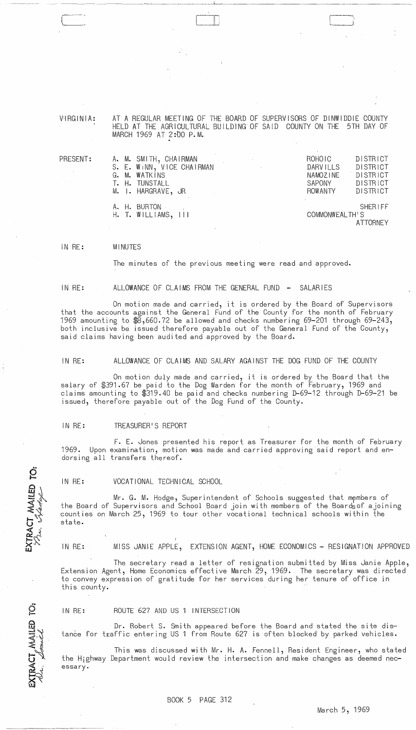V'IRG IN I A: AT A REGULAR MEETING OF THE BOARD OF SUPERVISORS OF DINWIDDIE COUNTY HELD AT THE AGRICULTURAL BUILDING OF SAID COUNTY ON THE 5TH DAY OF MARCH 1969 AT 2:00 P.M.

-~ .. -'-'- . -- ----- ---------~-~ ~-----'-----------------------

II ;

 $\begin{array}{c} \begin{array}{c} \begin{array}{c} \end{array} \end{array}$ 

**PRESE** 

| $\mathsf{\overline{c}NT:}$ | A. M. SMITH, CHAIRMAN<br>S. E. WINN, VICE CHAIRMAN<br>G. M. WATKINS | <b>DISTRICT</b><br>ROHOIC<br>DISTRICT<br><b>DARVILLS</b><br>DISTRICT<br>NAMOZINE |
|----------------------------|---------------------------------------------------------------------|----------------------------------------------------------------------------------|
|                            | T. H. TUNSTALL<br>M. I. HARGRAVE, JR                                | SAPONY<br>DISTRICT<br>ROWANTY<br>DISTRICT                                        |
|                            | A. H. BURTON<br>$H.$ T. WILLIAMS, $III$                             | <b>SHERIFF</b><br>COMMONWEALTH'S<br><b>ATTORNEY</b>                              |

IN RE: MI NUTES

The minutes of the previous meeting were read and approved.

IN RE: ALLOWANCE OF CLAIMS FROM THE GENERAL FUND - SALARIES

On motion made and carried, it is ordered by the Board of Supervisors that the accounts against the General Fund of the County for the month of February 1969 amounting to \$8,660.72 be allowed and checks numbering 69-201 through 69-243, both inclusive be issued therefore payable out of the General Fund of the County, said claims having been audited and approved by the Board.

IN RE: ALLOWANCE OF CLAIMS AND SALARY AGAINST THE DOG FUND OF THE COUNTY

On motion duly made and carried, it is ordered by the Board that the salary of \$391.67 be paid to the Dog Warden for the month of February, 1969 and claims amounting to \$319.40 be paid and checks numbering D-69-12 through D-69-21 be issued, therefore payable out of the Dog Fund of the County.

#### IN RE: TREASURER'S REPORT

EXTRACT MAILED TO:<br>*Vin. Martal* 

EXTRACT MAILED TO

F. E. Jones presented his report as Treasurer for the month of February 1969. Upon examination, motion was made and carried approving said report and endorsing all transfers thereof.

IN RE: VOCATIONAL TECHNICAL SCHOOL

Mr. G. M. Hodge, Superintendent of Schools suggested that members of the Board of Supervisors and School Board join with members of the Boards of ajoining counties on March 25, 1969 to tour other vocational technical schools within the state.

IN RE: MISS JANIE APPLE, EXTENSION AGENT, HOME ECONOMICS - RESIGNATION APPROVED

The secretary read a letter of resignation submitted by Miss Janie Apple, Extension Agent, Home Economics effective March 29, 1969. The secretary was directed to convey expression of gratitude for her services during her tenure of office in this county.

IN RE: ROUTE 627 AND US 1 INTERSECTION

Dr. Robert S. Smith appeared before the Board and stated the site distance for traffic entering US 1 from Route 627 is often blocked by parked vehicles.

This was discussed with Mr. H. A. Fennell, Resident Engineer, who stated the Highway Department would review the intersection and make changes as deemed necessary.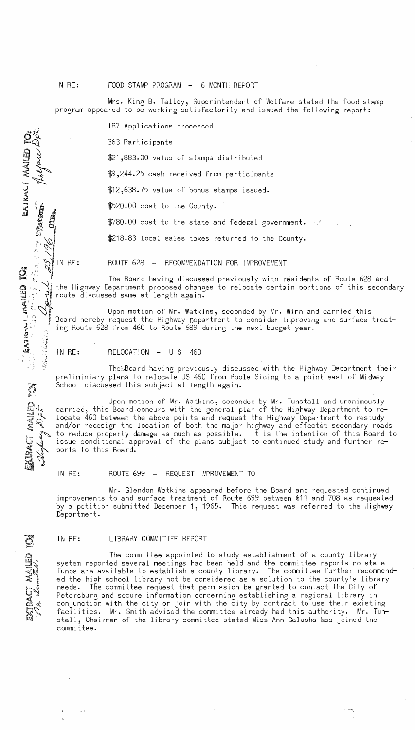IN RE: FOOD STAMP PROGRAM - 6 MONTH REPORT

Mrs. King B. Talley, Superintendent of Welfare stated the food stamp program appeared to be working satisfactorily and issued the following report:

187 Applications processed

363 Participants

\$21,883.00 value of stamps distributed

\$9,244.25 cash received from participants

\$12,638.75 value of bonus stamps issued.

\$520.00 cost to the County.

\$780.00 cost to the state and fede£al government.

 $\mathbb{R}^3$   $\mathbb{R}^3$   $\mathbb{R}^3$   $\mathbb{R}^3$   $\mathbb{R}^3$  alocal sales taxes returned to the County.

 $\sim$  $\Xi$ Q $^{\circ}$ 

g<br>2<br>2<br>2<br>2<br>2<br>2<br>2<br>2<br>2<br>2<br>1<br>2<br>1<br>

 $\frac{1}{2}$ 

 $\frac{1}{2}$ 

 $(1)$ ~., a, a, ~

 $\bigcup_{i=1}^{n}$ 

 $\sim$  $\sum_{i=1}^{n}$ 

AIKA'<br>...

 $\ddot{\mathcal{Q}}$ 

<sup>~</sup>I:. <sup>~</sup>;: t,. .• : <sup>~</sup> **"""GIl** :"\_; \_ <sup>~</sup> md ~ f" I

 $\frac{1}{2}$ ...  $\frac{1}{2}$ ...  $\mathbf{u}$  ,  $\mathbf{v}$ ,.J.

**...... tfo'**  e

 $\widetilde{\Xi}\not\sim$  $\mathbb{C} \subset \mathbb{C}$  $\sum_{i=1}^n$ 

~j

-.. ~  $\mathbf{\mathfrak{S}}$ o  $\leq$ ~~lj  $\leq$  1  $\mathcal{L}^r$ 

 $\sum_{k=1}^{\infty}$ I!.!m

.,:.,~

 $\mathcal{L} = \bigotimes_{i=1}^{n}$  IN RE: ROUTE 628 - RECOMMENDATION FOR IMPROVEMENT

The Board having discussed previously with residents of Route 628 and the Highway Department proposed changes to relocate certain portions of this secondary route discussed same at length again.

Upon motion of Mr. Watkins, seconded by Mr. Winn and carried this Board hereby request the Highway Department to consider improving and surface treating Route 628 from 460 to Route 689 during the next budget year.

IN RE: RELOCATION - U S 460

TheSBoard having previously discussed with the Highway Department their preliminiary plans to relocate US 460 from Poole Siding to a point east of Midway School discussed this subject at length again.

 $\mathbb{F} \longrightarrow_{\mathbb{F}} \mathbb{F}$  $\mathbb{Z}\times$ Upon motion of Mr. Watkins, seconded by Mr. Tunstall and unanimously carried, this Board concurs with the general plan of the Highway Department to relocate 460 between the above points and request the Highway Department to restudy and/or redesign the location of both the major highway and effected secondary roads to reduce property damage as much as possible. It is the intention of- this Board to issue conditional approval of the plans subject to continued study and further reports to this Board.

IN RE: ROUTE 699 - REQUEST IMPROVEMENT TO

Mr. Glendon Watkins appeared before the Board and requested continued improvements to and surface treatment of Route 699 between 611 and 708 as requested by a petition submitted December 1, 1965. This request was referred to the Highway Department.

## IN RE: LIBRARY COMMITTEE REPORT

The committee appointed to study establishment of a county library system reported several meetings had been held and the committee reports no state funds are available to establish a county library. The committee further recommended the high school library not be considered as a solution to the county's library needs. The committee request that permission be granted to contact the City of Petersburg and secure information concerning establishing a regional library in conjunction with the city or join with the city by contract to use their existing facilities. Mr. Smith advised the committee already had this authority. Mr. Tunstall, Chairman of the library committee stated Miss Ann Galusha has joined the committee.

-."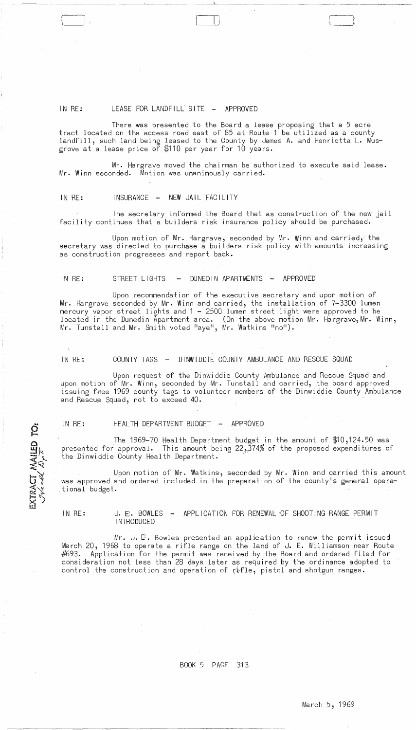# IN RE: LEASE FOR LANDFILL SITE - APPROVED

--------\_.- ---~-----

There was presented to the Board a lease proposing that a 5 acre tract located on the access road east of 85 at Route 1 be utilized as a county landfill, such land being leased to the County by James A. and Henrietta **L.** Musgrove at a lease price of \$110 per year for 10 years.

 $\sqcup$ 

Mr. Hargrave moved the chairman be authorized to execute said lease. Mr. Winn seconded. Motion was unanimously carried.

### IN RE: INSURANCE - NEW JAIL FACILITY

The secretary informed the Board that as construction of the new jail facility continues that a builders risk insurance policy should be purchased.

Upon motion of Mr. Hargrave, seconded by Mr. Winn and carried, the secretary was directed to purchase a builders risk policy with amounts increasing as construction progresses and report back.

### IN RE: STREET LIGHTS - DUNEDIN APARTMENTS - APPROVED

Upon recommendation of the executive secretary and upon motion of Mr. Hargrave seconded by Mr. Winn and carried, the installation of 7-3300 lumen mercury vapor street lights and 1 - 2500 lumen street light were approved to be located in the Dunedin Apartment area. (On the above motion Mr. Hargrave,Mr. Winn, Mr. Tunstall and Mr. Smith voted "aye", Mr. Watkins "no").

IN RE: COUNTY TAGS - DINWIDDIE COUNTY AMBULANCE AND RESCUE SQUAD

Upon request of the Dinwiddie County Ambulance and Rescue Squad and upon motion of Mr. Winn, seconded by Mr. Tunstall and carried, the board approved issuing free 1969 county tags to volunteer members of the Dinwiddie County Ambulance and Rescue Squad, not to exceed 40.

EXTRACT MAILED TO:<br>Juled Dy

## IN RE: HEALTH DEPARTMENT BUDGET - APPROVED

The 1969-70 Health Department budget in the amount of \$10,124.50 was presented for approval. This amount being 22,374% of the proposed expenditures of the Dinwiddie County Health Department.

Upon motion of Mr. Watkins, seconded by Mr. Winn and carried this amount was approved and ordered included in the preparation of the county's general opera-<br>tional budget.

# IN RE: J. E. BOWLES - APPLICATION FOR RENEWAL OF SHOOTING RANGE PERMIT **INTRODUCED**

Mr. J.  $E$ . Bowles presented an application to renew the permit issued March 20, 1968 to operate a rifle range on the land of J. E. Williamson near Route  $#693.$  Application for the permit was received by the Board and ordered filed for  $\stackrel{\ldots}{\text{const}}$  consideration not less than 28 days later as required by the ordinance adopted to control the construction and operation of rifle, pistol and shotgun ranges.

## BOOK 5 PAGE 313